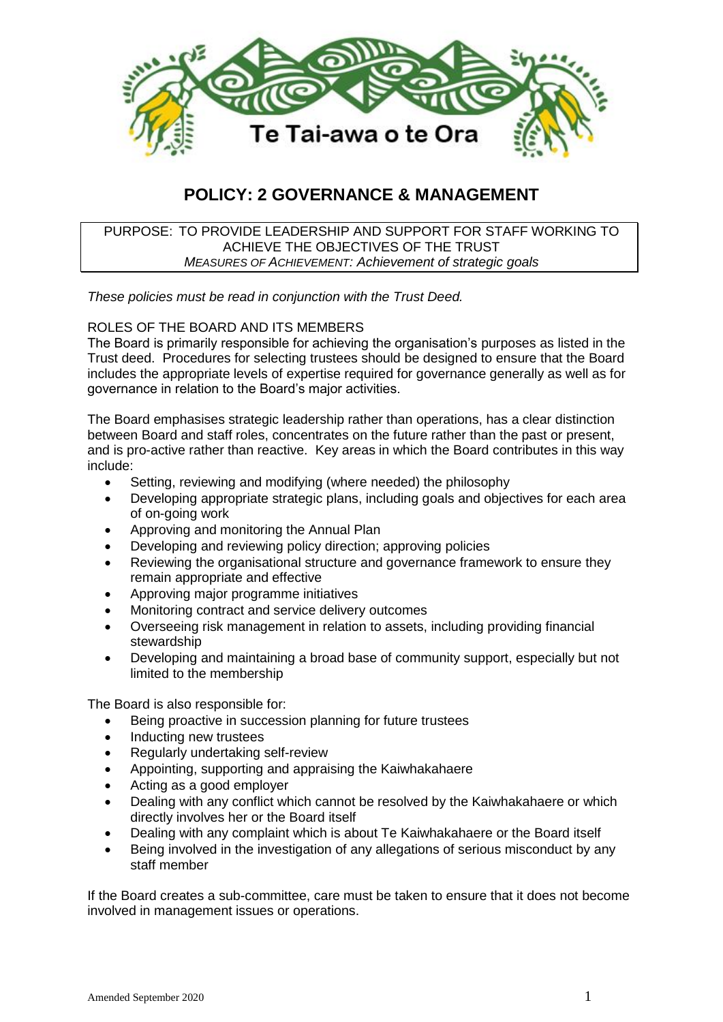

# **POLICY: 2 GOVERNANCE & MANAGEMENT**

## PURPOSE: TO PROVIDE LEADERSHIP AND SUPPORT FOR STAFF WORKING TO ACHIEVE THE OBJECTIVES OF THE TRUST *MEASURES OF ACHIEVEMENT: Achievement of strategic goals*

*These policies must be read in conjunction with the Trust Deed.*

# ROLES OF THE BOARD AND ITS MEMBERS

The Board is primarily responsible for achieving the organisation's purposes as listed in the Trust deed. Procedures for selecting trustees should be designed to ensure that the Board includes the appropriate levels of expertise required for governance generally as well as for governance in relation to the Board's major activities.

The Board emphasises strategic leadership rather than operations, has a clear distinction between Board and staff roles, concentrates on the future rather than the past or present, and is pro-active rather than reactive. Key areas in which the Board contributes in this way include:

- Setting, reviewing and modifying (where needed) the philosophy
- Developing appropriate strategic plans, including goals and objectives for each area of on-going work
- Approving and monitoring the Annual Plan
- Developing and reviewing policy direction; approving policies
- Reviewing the organisational structure and governance framework to ensure they remain appropriate and effective
- Approving major programme initiatives
- Monitoring contract and service delivery outcomes
- Overseeing risk management in relation to assets, including providing financial stewardship
- Developing and maintaining a broad base of community support, especially but not limited to the membership

The Board is also responsible for:

- Being proactive in succession planning for future trustees
- Inducting new trustees
- Regularly undertaking self-review
- Appointing, supporting and appraising the Kaiwhakahaere
- Acting as a good employer
- Dealing with any conflict which cannot be resolved by the Kaiwhakahaere or which directly involves her or the Board itself
- Dealing with any complaint which is about Te Kaiwhakahaere or the Board itself
- Being involved in the investigation of any allegations of serious misconduct by any staff member

If the Board creates a sub-committee, care must be taken to ensure that it does not become involved in management issues or operations.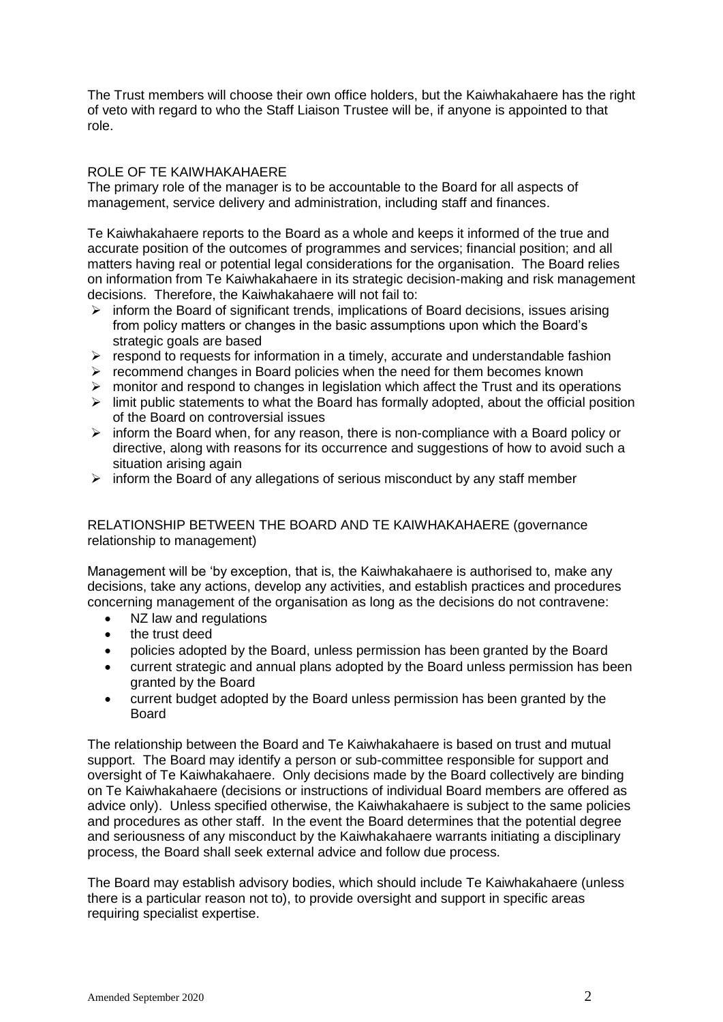The Trust members will choose their own office holders, but the Kaiwhakahaere has the right of veto with regard to who the Staff Liaison Trustee will be, if anyone is appointed to that role.

## ROLE OF TE KAIWHAKAHAERE

The primary role of the manager is to be accountable to the Board for all aspects of management, service delivery and administration, including staff and finances.

Te Kaiwhakahaere reports to the Board as a whole and keeps it informed of the true and accurate position of the outcomes of programmes and services; financial position; and all matters having real or potential legal considerations for the organisation. The Board relies on information from Te Kaiwhakahaere in its strategic decision-making and risk management decisions. Therefore, the Kaiwhakahaere will not fail to:

- $\triangleright$  inform the Board of significant trends, implications of Board decisions, issues arising from policy matters or changes in the basic assumptions upon which the Board's strategic goals are based
- $\triangleright$  respond to requests for information in a timely, accurate and understandable fashion
- $\triangleright$  recommend changes in Board policies when the need for them becomes known
- $\triangleright$  monitor and respond to changes in legislation which affect the Trust and its operations
- $\triangleright$  limit public statements to what the Board has formally adopted, about the official position of the Board on controversial issues
- $\triangleright$  inform the Board when, for any reason, there is non-compliance with a Board policy or directive, along with reasons for its occurrence and suggestions of how to avoid such a situation arising again
- $\triangleright$  inform the Board of any allegations of serious misconduct by any staff member

# RELATIONSHIP BETWEEN THE BOARD AND TE KAIWHAKAHAERE (governance relationship to management)

Management will be 'by exception, that is, the Kaiwhakahaere is authorised to, make any decisions, take any actions, develop any activities, and establish practices and procedures concerning management of the organisation as long as the decisions do not contravene:

- NZ law and regulations
- the trust deed
- policies adopted by the Board, unless permission has been granted by the Board
- current strategic and annual plans adopted by the Board unless permission has been granted by the Board
- current budget adopted by the Board unless permission has been granted by the Board

The relationship between the Board and Te Kaiwhakahaere is based on trust and mutual support. The Board may identify a person or sub-committee responsible for support and oversight of Te Kaiwhakahaere. Only decisions made by the Board collectively are binding on Te Kaiwhakahaere (decisions or instructions of individual Board members are offered as advice only). Unless specified otherwise, the Kaiwhakahaere is subject to the same policies and procedures as other staff. In the event the Board determines that the potential degree and seriousness of any misconduct by the Kaiwhakahaere warrants initiating a disciplinary process, the Board shall seek external advice and follow due process.

The Board may establish advisory bodies, which should include Te Kaiwhakahaere (unless there is a particular reason not to), to provide oversight and support in specific areas requiring specialist expertise.